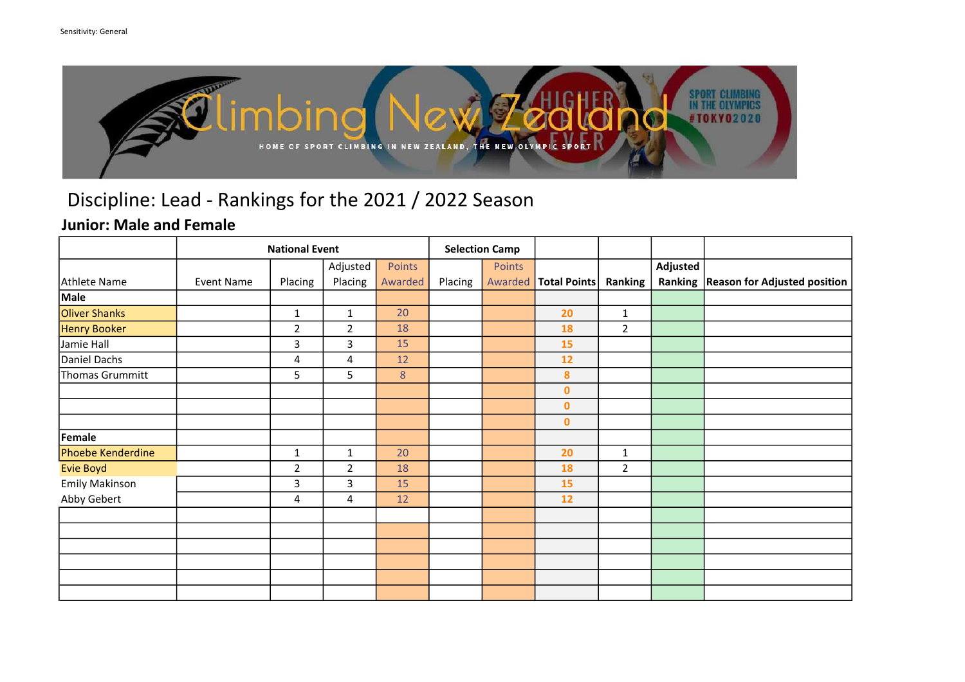

### Junior: Male and Female

|                       | <b>National Event</b> |                | <b>Selection Camp</b> |         |         |         |                  |                |          |                                        |
|-----------------------|-----------------------|----------------|-----------------------|---------|---------|---------|------------------|----------------|----------|----------------------------------------|
|                       |                       |                | Adjusted              | Points  |         | Points  |                  |                | Adjusted |                                        |
| Athlete Name          | Event Name            | Placing        | Placing               | Awarded | Placing | Awarded | Total Points     | Ranking        |          | Ranking   Reason for Adjusted position |
| Male                  |                       |                |                       |         |         |         |                  |                |          |                                        |
| <b>Oliver Shanks</b>  |                       | $\mathbf{1}$   | $\mathbf{1}$          | 20      |         |         | 20               | $\mathbf{1}$   |          |                                        |
| Henry Booker          |                       | $\overline{2}$ | $\overline{2}$        | 18      |         |         | 18               | $\overline{2}$ |          |                                        |
| Jamie Hall            |                       | 3              | 3                     | 15      |         |         | 15               |                |          |                                        |
| Daniel Dachs          |                       | 4              | 4                     | 12      |         |         | 12               |                |          |                                        |
| Thomas Grummitt       |                       | 5              | 5                     | $\,8\,$ |         |         | $\boldsymbol{8}$ |                |          |                                        |
|                       |                       |                |                       |         |         |         | $\pmb{0}$        |                |          |                                        |
|                       |                       |                |                       |         |         |         | $\bf{0}$         |                |          |                                        |
|                       |                       |                |                       |         |         |         | $\pmb{0}$        |                |          |                                        |
| Female                |                       |                |                       |         |         |         |                  |                |          |                                        |
| Phoebe Kenderdine     |                       | $\mathbf{1}$   | $\mathbf{1}$          | 20      |         |         | 20               | $\mathbf{1}$   |          |                                        |
| <b>Evie Boyd</b>      |                       | $\overline{2}$ | $\overline{2}$        | 18      |         |         | 18               | $\overline{2}$ |          |                                        |
| <b>Emily Makinson</b> |                       | 3              | 3                     | 15      |         |         | 15               |                |          |                                        |
| Abby Gebert           |                       | 4              | 4                     | 12      |         |         | 12               |                |          |                                        |
|                       |                       |                |                       |         |         |         |                  |                |          |                                        |
|                       |                       |                |                       |         |         |         |                  |                |          |                                        |
|                       |                       |                |                       |         |         |         |                  |                |          |                                        |
|                       |                       |                |                       |         |         |         |                  |                |          |                                        |
|                       |                       |                |                       |         |         |         |                  |                |          |                                        |
|                       |                       |                |                       |         |         |         |                  |                |          |                                        |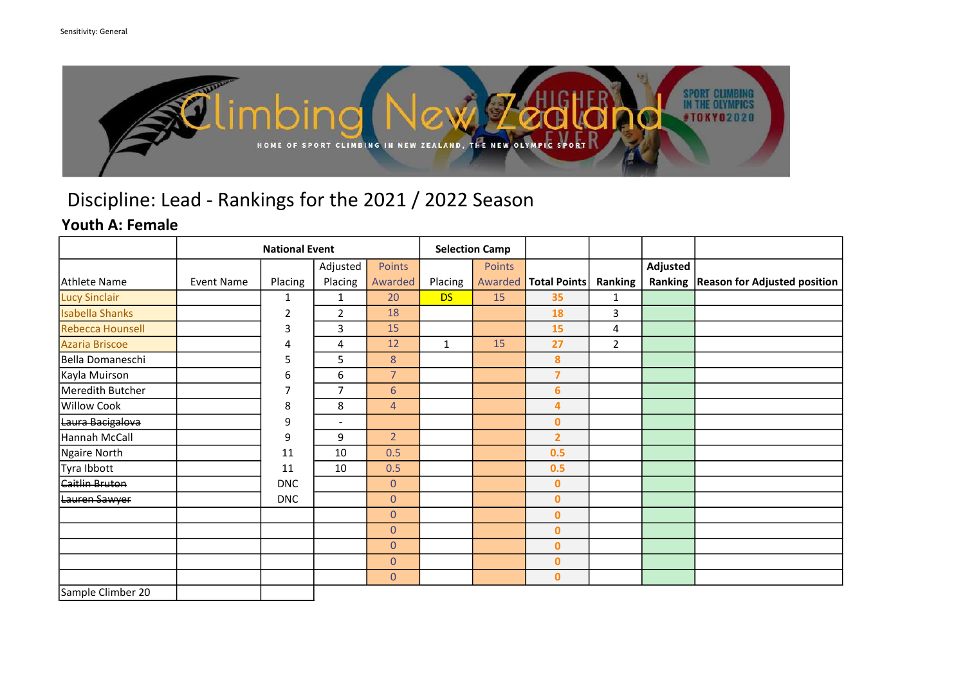

### Youth A: Female

|                        |                   |            | <b>Selection Camp</b>    |                |              |         |                     |                |          |                                        |
|------------------------|-------------------|------------|--------------------------|----------------|--------------|---------|---------------------|----------------|----------|----------------------------------------|
|                        |                   |            | Adjusted                 | Points         |              | Points  |                     |                | Adjusted |                                        |
| Athlete Name           | <b>Event Name</b> | Placing    | Placing                  | Awarded        | Placing      | Awarded | <b>Total Points</b> | Ranking        |          | Ranking   Reason for Adjusted position |
| <b>Lucy Sinclair</b>   |                   | 1          | $\mathbf{1}$             | 20             | <b>DS</b>    | 15      | 35                  | 1              |          |                                        |
| <b>Isabella Shanks</b> |                   | 2          | $\overline{2}$           | 18             |              |         | 18                  | 3              |          |                                        |
| Rebecca Hounsell       |                   | 3          | 3                        | 15             |              |         | 15                  | 4              |          |                                        |
| Azaria Briscoe         |                   | 4          | 4                        | 12             | $\mathbf{1}$ | 15      | 27                  | $\overline{2}$ |          |                                        |
| Bella Domaneschi       |                   | 5          | 5                        | 8              |              |         | 8                   |                |          |                                        |
| Kayla Muirson          |                   | 6          | 6                        | $\overline{7}$ |              |         | $\overline{7}$      |                |          |                                        |
| Meredith Butcher       |                   | 7          | $\overline{7}$           | $6\phantom{a}$ |              |         | 6                   |                |          |                                        |
| <b>Willow Cook</b>     |                   | 8          | 8                        | $\overline{4}$ |              |         | 4                   |                |          |                                        |
| Laura Bacigalova       |                   | 9          | $\overline{\phantom{a}}$ |                |              |         | $\bf{0}$            |                |          |                                        |
| Hannah McCall          |                   | 9          | 9                        | 2 <sup>1</sup> |              |         | $\overline{2}$      |                |          |                                        |
| Ngaire North           |                   | 11         | 10                       | 0.5            |              |         | 0.5                 |                |          |                                        |
| Tyra Ibbott            |                   | 11         | 10                       | 0.5            |              |         | 0.5                 |                |          |                                        |
| <b>Caitlin Bruton</b>  |                   | <b>DNC</b> |                          | $\overline{0}$ |              |         | $\bf{0}$            |                |          |                                        |
| Lauren Sawyer          |                   | <b>DNC</b> |                          | $\overline{0}$ |              |         | $\bf{0}$            |                |          |                                        |
|                        |                   |            |                          | $\overline{0}$ |              |         | $\bf{0}$            |                |          |                                        |
|                        |                   |            |                          | $\mathbf{0}$   |              |         | $\bf{0}$            |                |          |                                        |
|                        |                   |            |                          | $\overline{0}$ |              |         | $\bf{0}$            |                |          |                                        |
|                        |                   |            |                          | $\overline{0}$ |              |         | $\mathbf{0}$        |                |          |                                        |
|                        |                   |            |                          | $\overline{0}$ |              |         | $\mathbf{0}$        |                |          |                                        |
| Sample Climber 20      |                   |            |                          |                |              |         |                     |                |          |                                        |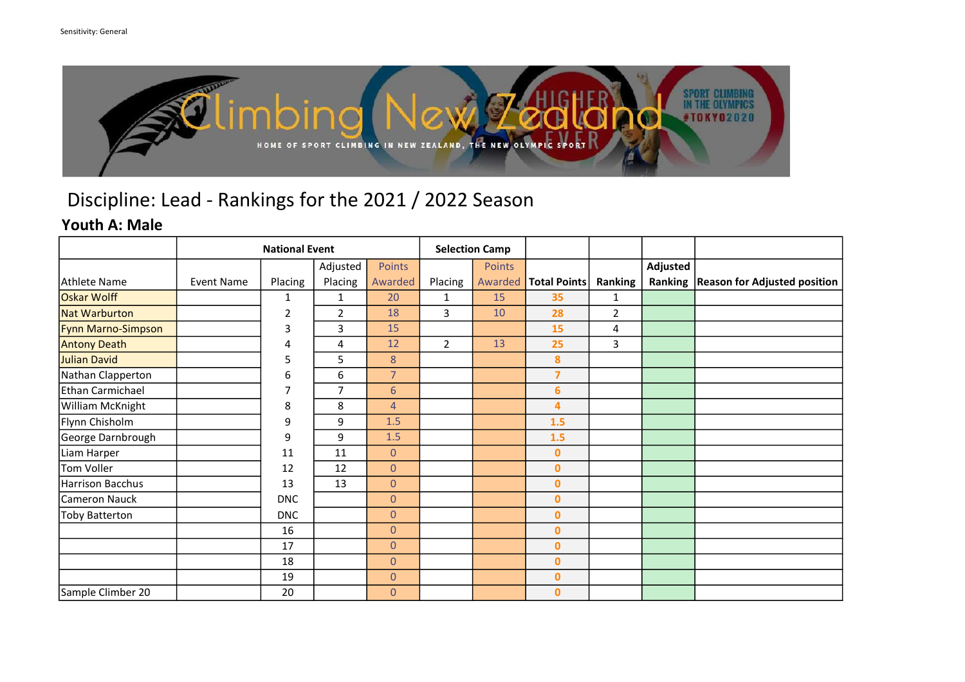

#### Youth A: Male

|                       |                   | <b>Selection Camp</b> |                |                 |                |               |                     |                |          |                                        |
|-----------------------|-------------------|-----------------------|----------------|-----------------|----------------|---------------|---------------------|----------------|----------|----------------------------------------|
|                       |                   |                       | Adjusted       | <b>Points</b>   |                | <b>Points</b> |                     |                | Adjusted |                                        |
| Athlete Name          | <b>Event Name</b> | Placing               | Placing        | Awarded         | Placing        | Awarded       | <b>Total Points</b> | <b>Ranking</b> |          | Ranking   Reason for Adjusted position |
| Oskar Wolff           |                   | 1                     | $\mathbf{1}$   | 20              | $\mathbf{1}$   | 15            | 35                  | $\mathbf{1}$   |          |                                        |
| Nat Warburton         |                   | 2                     | $\overline{2}$ | 18              | 3              | 10            | 28                  | $\overline{2}$ |          |                                        |
| Fynn Marno-Simpson    |                   | 3                     | 3              | 15              |                |               | 15                  | 4              |          |                                        |
| <b>Antony Death</b>   |                   | 4                     | 4              | 12              | $\overline{2}$ | 13            | 25                  | 3              |          |                                        |
| Julian David          |                   | 5                     | 5              | 8               |                |               | 8                   |                |          |                                        |
| Nathan Clapperton     |                   | 6                     | 6              | $\overline{7}$  |                |               | $\overline{7}$      |                |          |                                        |
| Ethan Carmichael      |                   | 7                     | $\overline{ }$ | $6\overline{6}$ |                |               | 6                   |                |          |                                        |
| William McKnight      |                   | 8                     | 8              | $\overline{4}$  |                |               | 4                   |                |          |                                        |
| Flynn Chisholm        |                   | 9                     | 9              | 1.5             |                |               | 1.5                 |                |          |                                        |
| George Darnbrough     |                   | 9                     | 9              | 1.5             |                |               | 1.5                 |                |          |                                        |
| Liam Harper           |                   | 11                    | 11             | $\overline{0}$  |                |               | $\mathbf{0}$        |                |          |                                        |
| Tom Voller            |                   | 12                    | 12             | $\overline{0}$  |                |               | $\bf{0}$            |                |          |                                        |
| Harrison Bacchus      |                   | 13                    | 13             | $\overline{0}$  |                |               | $\bf{0}$            |                |          |                                        |
| Cameron Nauck         |                   | <b>DNC</b>            |                | $\overline{0}$  |                |               | $\bf{0}$            |                |          |                                        |
| <b>Toby Batterton</b> |                   | <b>DNC</b>            |                | $\overline{0}$  |                |               | $\mathbf{0}$        |                |          |                                        |
|                       |                   | 16                    |                | $\overline{0}$  |                |               | $\mathbf{0}$        |                |          |                                        |
|                       |                   | 17                    |                | $\overline{0}$  |                |               | $\mathbf{0}$        |                |          |                                        |
|                       |                   | 18                    |                | $\overline{0}$  |                |               | $\bf{0}$            |                |          |                                        |
|                       |                   | 19                    |                | $\overline{0}$  |                |               | $\mathbf{0}$        |                |          |                                        |
| Sample Climber 20     |                   | 20                    |                | $\mathbf{0}$    |                |               | $\mathbf 0$         |                |          |                                        |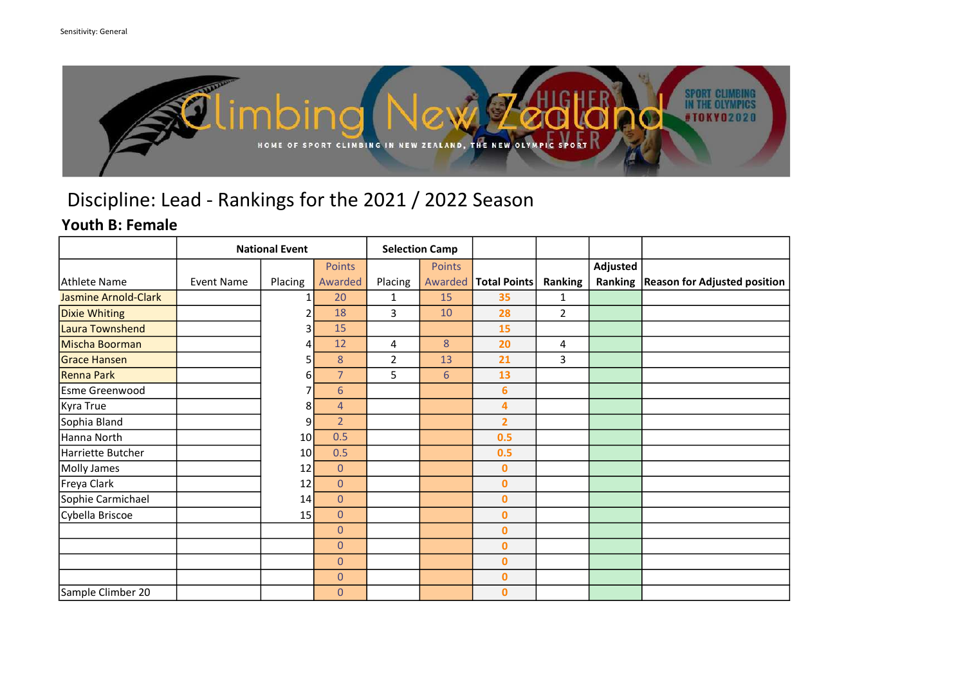

### Youth B: Female

|                             | <b>National Event</b> |         |                |                | <b>Selection Camp</b> |                     |                |          |                                        |
|-----------------------------|-----------------------|---------|----------------|----------------|-----------------------|---------------------|----------------|----------|----------------------------------------|
|                             |                       |         | Points         |                | Points                |                     |                | Adjusted |                                        |
| Athlete Name                | <b>Event Name</b>     | Placing | Awarded        | Placing        | Awarded               | <b>Total Points</b> | Ranking        |          | Ranking   Reason for Adjusted position |
| <b>Jasmine Arnold-Clark</b> |                       | 1       | 20             | 1              | 15                    | 35                  | 1              |          |                                        |
| <b>Dixie Whiting</b>        |                       |         | 18             | 3              | 10                    | 28                  | $\overline{2}$ |          |                                        |
| Laura Townshend             |                       | 3       | 15             |                |                       | 15                  |                |          |                                        |
| Mischa Boorman              |                       | 4       | 12             | 4              | 8                     | 20                  | 4              |          |                                        |
| <b>Grace Hansen</b>         |                       |         | 8              | $\overline{2}$ | 13                    | 21                  | 3              |          |                                        |
| Renna Park                  |                       | 6       | $\overline{7}$ | 5              | 6                     | 13                  |                |          |                                        |
| Esme Greenwood              |                       |         | 6              |                |                       | 6                   |                |          |                                        |
| Kyra True                   |                       | 8       | $\overline{4}$ |                |                       | 4                   |                |          |                                        |
| Sophia Bland                |                       | 9       | $\overline{2}$ |                |                       | $\overline{2}$      |                |          |                                        |
| Hanna North                 |                       | 10      | 0.5            |                |                       | 0.5                 |                |          |                                        |
| Harriette Butcher           |                       | 10I     | 0.5            |                |                       | 0.5                 |                |          |                                        |
| Molly James                 |                       | 12      | $\overline{0}$ |                |                       | $\bf{0}$            |                |          |                                        |
| Freya Clark                 |                       | 12      | $\overline{0}$ |                |                       | $\mathbf{0}$        |                |          |                                        |
| Sophie Carmichael           |                       | 14      | $\overline{0}$ |                |                       | $\bf{0}$            |                |          |                                        |
| Cybella Briscoe             |                       | 15      | $\overline{0}$ |                |                       | $\mathbf{0}$        |                |          |                                        |
|                             |                       |         | $\overline{0}$ |                |                       | $\mathbf{0}$        |                |          |                                        |
|                             |                       |         | $\overline{0}$ |                |                       | $\bf{0}$            |                |          |                                        |
|                             |                       |         | $\overline{0}$ |                |                       | $\mathbf{0}$        |                |          |                                        |
|                             |                       |         | $\theta$       |                |                       | $\bf{0}$            |                |          |                                        |
| Sample Climber 20           |                       |         | $\theta$       |                |                       | $\mathbf{0}$        |                |          |                                        |